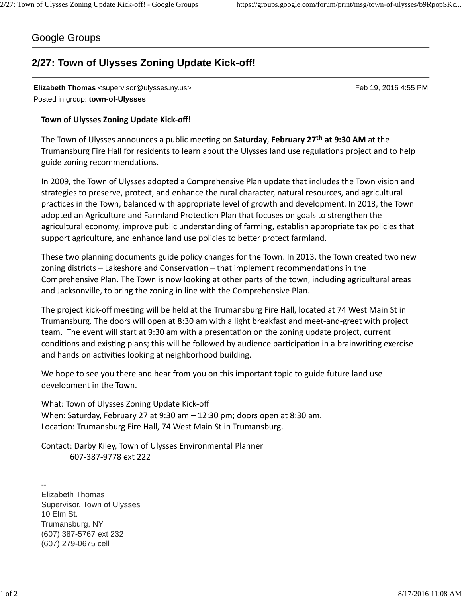## Google Groups

## **2/27: Town of Ulysses Zoning Update Kick-off!**

**Elizabeth Thomas** <supervisor@ulysses.ny.us> Feb 19, 2016 4:55 PM Posted in group: **town-of-Ulysses**

## **Town of Ulysses Zoning Update Kick-off!**

The Town of Ulysses announces a public meeting on Saturday, February 27<sup>th</sup> at 9:30 AM at the Trumansburg Fire Hall for residents to learn about the Ulysses land use regulations project and to help guide zoning recommendations.

In 2009, the Town of Ulysses adopted a Comprehensive Plan update that includes the Town vision and strategies to preserve, protect, and enhance the rural character, natural resources, and agricultural practices in the Town, balanced with appropriate level of growth and development. In 2013, the Town adopted an Agriculture and Farmland Protection Plan that focuses on goals to strengthen the agricultural economy, improve public understanding of farming, establish appropriate tax policies that support agriculture, and enhance land use policies to better protect farmland.

These two planning documents guide policy changes for the Town. In 2013, the Town created two new zoning districts – Lakeshore and Conservation – that implement recommendations in the Comprehensive Plan. The Town is now looking at other parts of the town, including agricultural areas and Jacksonville, to bring the zoning in line with the Comprehensive Plan.

The project kick-off meeting will be held at the Trumansburg Fire Hall, located at 74 West Main St in Trumansburg. The doors will open at 8:30 am with a light breakfast and meet-and-greet with project team. The event will start at 9:30 am with a presentation on the zoning update project, current conditions and existing plans; this will be followed by audience participation in a brainwriting exercise and hands on activities looking at neighborhood building.

We hope to see you there and hear from you on this important topic to guide future land use development in the Town.

What: Town of Ulysses Zoning Update Kick-off When: Saturday, February 27 at 9:30 am – 12:30 pm; doors open at 8:30 am. Location: Trumansburg Fire Hall, 74 West Main St in Trumansburg.

Contact: Darby Kiley, Town of Ulysses Environmental Planner 607-387-9778 ext 222

-- Elizabeth Thomas Supervisor, Town of Ulysses 10 Elm St. Trumansburg, NY (607) 387-5767 ext 232 (607) 279-0675 cell